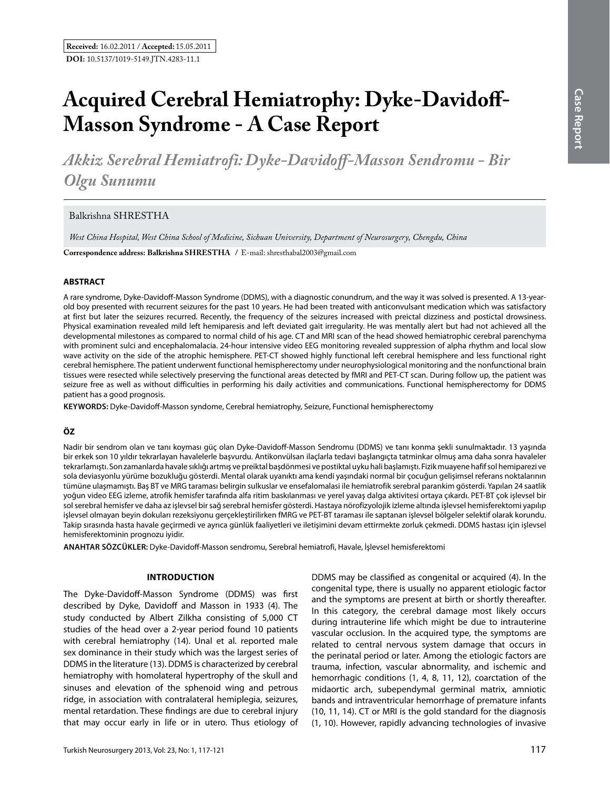# **Acquired Cerebral Hemiatrophy: Dyke-Davidoff-Masson Syndrome - A Case Report**

*Akkiz Serebral Hemiatrofi: Dyke-Davidoff-Masson Sendromu - Bir Olgu Sunumu*

Balkrishna SHRESTHA

*West China Hospital, West China School of Medicine, Sichuan University, Department of Neurosurgery, Chengdu, China*

**Correspondence address: Balkrishna Shrestha /** E-mail: shresthabal2003@gmail.com

### **ABSTRACT**

A rare syndrome, Dyke-Davidoff-Masson Syndrome (DDMS), with a diagnostic conundrum, and the way it was solved is presented. A 13-yearold boy presented with recurrent seizures for the past 10 years. He had been treated with anticonvulsant medication which was satisfactory at first but later the seizures recurred. Recently, the frequency of the seizures increased with preictal dizziness and postictal drowsiness. Physical examination revealed mild left hemiparesis and left deviated gait irregularity. He was mentally alert but had not achieved all the developmental milestones as compared to normal child of his age. CT and MRI scan of the head showed hemiatrophic cerebral parenchyma with prominent sulci and encephalomalacia. 24-hour intensive video EEG monitoring revealed suppression of alpha rhythm and local slow wave activity on the side of the atrophic hemisphere. PET-CT showed highly functional left cerebral hemisphere and less functional right cerebral hemisphere. The patient underwent functional hemispherectomy under neurophysiological monitoring and the nonfunctional brain tissues were resected while selectively preserving the functional areas detected by fMRI and PET-CT scan. During follow up, the patient was seizure free as well as without difficulties in performing his daily activities and communications. Functional hemispherectomy for DDMS patient has a good prognosis.

**Keywords:** Dyke-Davidoff-Masson syndome, Cerebral hemiatrophy, Seizure, Functional hemispherectomy

### **ÖZ**

Nadir bir sendrom olan ve tanı koyması güç olan Dyke-Davidoff-Masson Sendromu (DDMS) ve tanı konma şekli sunulmaktadır. 13 yaşında bir erkek son 10 yıldır tekrarlayan havalelerle başvurdu. Antikonvülsan ilaçlarla tedavi başlangıçta tatminkar olmuş ama daha sonra havaleler tekrarlamıştı. Son zamanlarda havale sıklığı artmış ve preiktal başdönmesi ve postiktal uyku hali başlamıştı. Fizik muayene hafif sol hemiparezi ve sola deviasyonlu yürüme bozukluğu gösterdi. Mental olarak uyanıktı ama kendi yaşındaki normal bir çocuğun gelişimsel referans noktalarının tümüne ulaşmamıştı. Baş BT ve MRG taraması belirgin sulkuslar ve ensefalomalasi ile hemiatrofik serebral parankim gösterdi. Yapılan 24 saatlik yoğun video EEG izleme, atrofik hemisfer tarafında alfa ritim baskılanması ve yerel yavaş dalga aktivitesi ortaya çıkardı. PET-BT çok işlevsel bir sol serebral hemisfer ve daha az işlevsel bir sağ serebral hemisfer gösterdi. Hastaya nörofizyolojik izleme altında işlevsel hemisferektomi yapılıp işlevsel olmayan beyin dokuları rezeksiyonu gerçekleştirilirken fMRG ve PET-BT taraması ile saptanan işlevsel bölgeler selektif olarak korundu. Takip sırasında hasta havale geçirmedi ve ayrıca günlük faaliyetleri ve iletişimini devam ettirmekte zorluk çekmedi. DDMS hastası için işlevsel hemisferektominin prognozu iyidir.

**ANAHTAR SÖZCÜKLER:** Dyke-Davidoff-Masson sendromu, Serebral hemiatrofi, Havale, İşlevsel hemisferektomi

### **Introduction**

The Dyke-Davidoff-Masson Syndrome (DDMS) was first described by Dyke, Davidoff and Masson in 1933 (4). The study conducted by Albert Zilkha consisting of 5,000 CT studies of the head over a 2-year period found 10 patients with cerebral hemiatrophy (14). Unal et al. reported male sex dominance in their study which was the largest series of DDMS in the literature (13). DDMS is characterized by cerebral hemiatrophy with homolateral hypertrophy of the skull and sinuses and elevation of the sphenoid wing and petrous ridge, in association with contralateral hemiplegia, seizures, mental retardation. These findings are due to cerebral injury that may occur early in life or in utero. Thus etiology of

DDMS may be classified as congenital or acquired (4). In the congenital type, there is usually no apparent etiologic factor and the symptoms are present at birth or shortly thereafter. In this category, the cerebral damage most likely occurs during intrauterine life which might be due to intrauterine vascular occlusion. In the acquired type, the symptoms are related to central nervous system damage that occurs in the perinatal period or later. Among the etiologic factors are trauma, infection, vascular abnormality, and ischemic and hemorrhagic conditions (1, 4, 8, 11, 12), coarctation of the midaortic arch, subependymal germinal matrix, amniotic bands and intraventricular hemorrhage of premature infants (10, 11, 14). CT or MRI is the gold standard for the diagnosis (1, 10). However, rapidly advancing technologies of invasive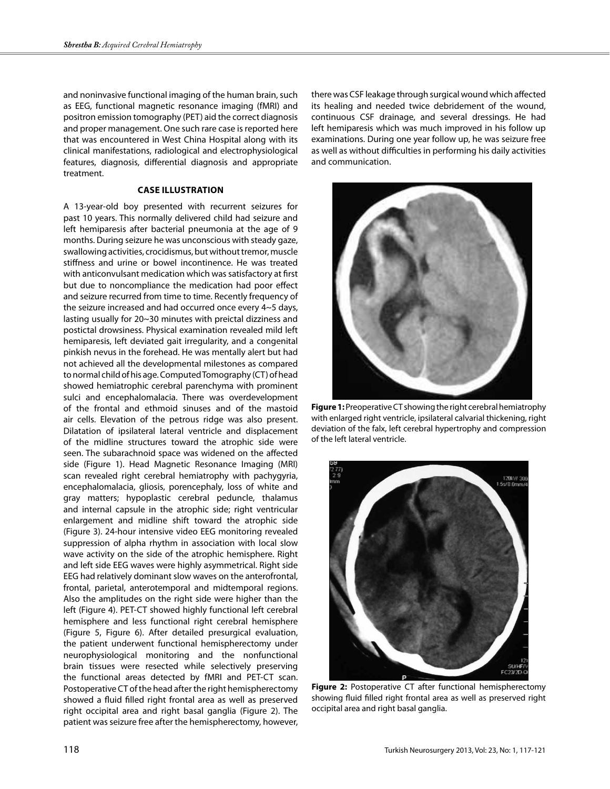and noninvasive functional imaging of the human brain, such as EEG, functional magnetic resonance imaging (fMRI) and positron emission tomography (PET) aid the correct diagnosis and proper management. One such rare case is reported here that was encountered in West China Hospital along with its clinical manifestations, radiological and electrophysiological features, diagnosis, differential diagnosis and appropriate treatment.

### **Case illustration**

A 13-year-old boy presented with recurrent seizures for past 10 years. This normally delivered child had seizure and left hemiparesis after bacterial pneumonia at the age of 9 months. During seizure he was unconscious with steady gaze, swallowing activities, crocidismus, but without tremor, muscle stiffness and urine or bowel incontinence. He was treated with anticonvulsant medication which was satisfactory at first but due to noncompliance the medication had poor effect and seizure recurred from time to time. Recently frequency of the seizure increased and had occurred once every 4~5 days, lasting usually for 20~30 minutes with preictal dizziness and postictal drowsiness. Physical examination revealed mild left hemiparesis, left deviated gait irregularity, and a congenital pinkish nevus in the forehead. He was mentally alert but had not achieved all the developmental milestones as compared to normal child of his age. Computed Tomography (CT) of head showed hemiatrophic cerebral parenchyma with prominent sulci and encephalomalacia. There was overdevelopment of the frontal and ethmoid sinuses and of the mastoid air cells. Elevation of the petrous ridge was also present. Dilatation of ipsilateral lateral ventricle and displacement of the midline structures toward the atrophic side were seen. The subarachnoid space was widened on the affected side (Figure 1). Head Magnetic Resonance Imaging (MRI) scan revealed right cerebral hemiatrophy with pachygyria, encephalomalacia, gliosis, porencephaly, loss of white and gray matters; hypoplastic cerebral peduncle, thalamus and internal capsule in the atrophic side; right ventricular enlargement and midline shift toward the atrophic side (Figure 3). 24-hour intensive video EEG monitoring revealed suppression of alpha rhythm in association with local slow wave activity on the side of the atrophic hemisphere. Right and left side EEG waves were highly asymmetrical. Right side EEG had relatively dominant slow waves on the anterofrontal, frontal, parietal, anterotemporal and midtemporal regions. Also the amplitudes on the right side were higher than the left (Figure 4). PET-CT showed highly functional left cerebral hemisphere and less functional right cerebral hemisphere (Figure 5, Figure 6). After detailed presurgical evaluation, the patient underwent functional hemispherectomy under neurophysiological monitoring and the nonfunctional brain tissues were resected while selectively preserving the functional areas detected by fMRI and PET-CT scan. Postoperative CT of the head after the right hemispherectomy showed a fluid filled right frontal area as well as preserved right occipital area and right basal ganglia (Figure 2). The patient was seizure free after the hemispherectomy, however,

there was CSF leakage through surgical wound which affected its healing and needed twice debridement of the wound, continuous CSF drainage, and several dressings. He had left hemiparesis which was much improved in his follow up examinations. During one year follow up, he was seizure free as well as without difficulties in performing his daily activities and communication.



**Figure 1:** Preoperative CT showing the right cerebral hemiatrophy with enlarged right ventricle, ipsilateral calvarial thickening, right deviation of the falx, left cerebral hypertrophy and compression of the left lateral ventricle.



**Figure 2:** Postoperative CT after functional hemispherectomy showing fluid filled right frontal area as well as preserved right occipital area and right basal ganglia.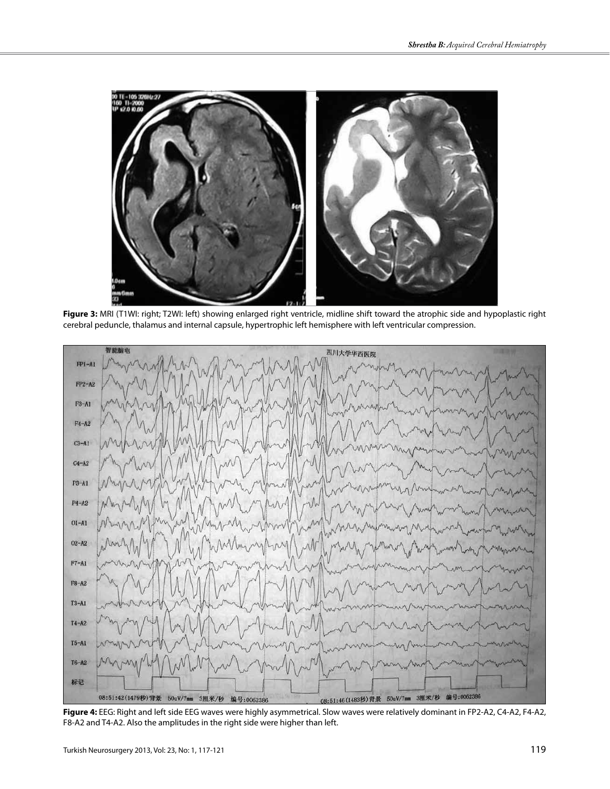

**Figure 3:** MRI (T1WI: right; T2WI: left) showing enlarged right ventricle, midline shift toward the atrophic side and hypoplastic right cerebral peduncle, thalamus and internal capsule, hypertrophic left hemisphere with left ventricular compression.



**Figure 4:** EEG: Right and left side EEG waves were highly asymmetrical. Slow waves were relatively dominant in FP2-A2, C4-A2, F4-A2, F8-A2 and T4-A2. Also the amplitudes in the right side were higher than left.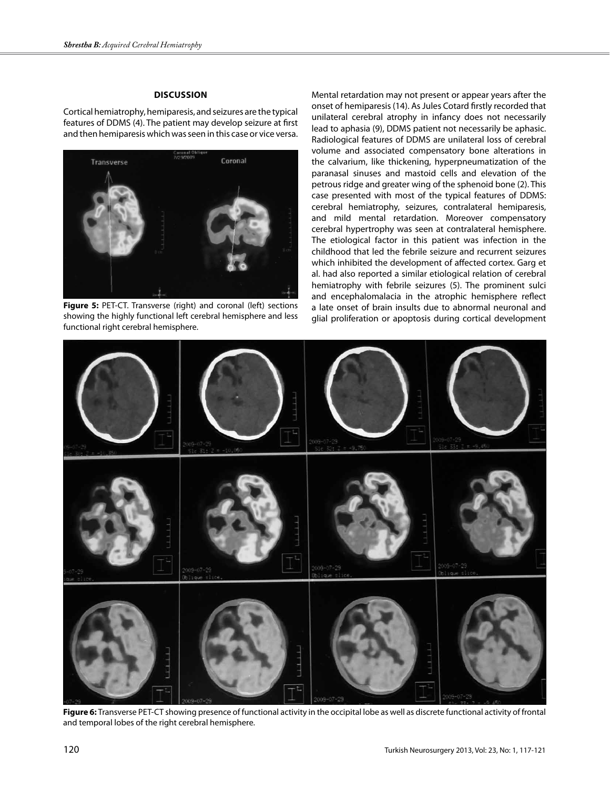## **Discussion**

Cortical hemiatrophy, hemiparesis, and seizures are the typical features of DDMS (4). The patient may develop seizure at first and then hemiparesis which was seen in this case or vice versa.



**Figure 5:** PET-CT. Transverse (right) and coronal (left) sections showing the highly functional left cerebral hemisphere and less functional right cerebral hemisphere.

Mental retardation may not present or appear years after the onset of hemiparesis (14). As Jules Cotard firstly recorded that unilateral cerebral atrophy in infancy does not necessarily lead to aphasia (9), DDMS patient not necessarily be aphasic. Radiological features of DDMS are unilateral loss of cerebral volume and associated compensatory bone alterations in the calvarium, like thickening, hyperpneumatization of the paranasal sinuses and mastoid cells and elevation of the petrous ridge and greater wing of the sphenoid bone (2). This case presented with most of the typical features of DDMS: cerebral hemiatrophy, seizures, contralateral hemiparesis, and mild mental retardation. Moreover compensatory cerebral hypertrophy was seen at contralateral hemisphere. The etiological factor in this patient was infection in the childhood that led the febrile seizure and recurrent seizures which inhibited the development of affected cortex. Garg et al. had also reported a similar etiological relation of cerebral hemiatrophy with febrile seizures (5). The prominent sulci and encephalomalacia in the atrophic hemisphere reflect a late onset of brain insults due to abnormal neuronal and glial proliferation or apoptosis during cortical development



**Figure 6:** Transverse PET-CT showing presence of functional activity in the occipital lobe as well as discrete functional activity of frontal and temporal lobes of the right cerebral hemisphere.